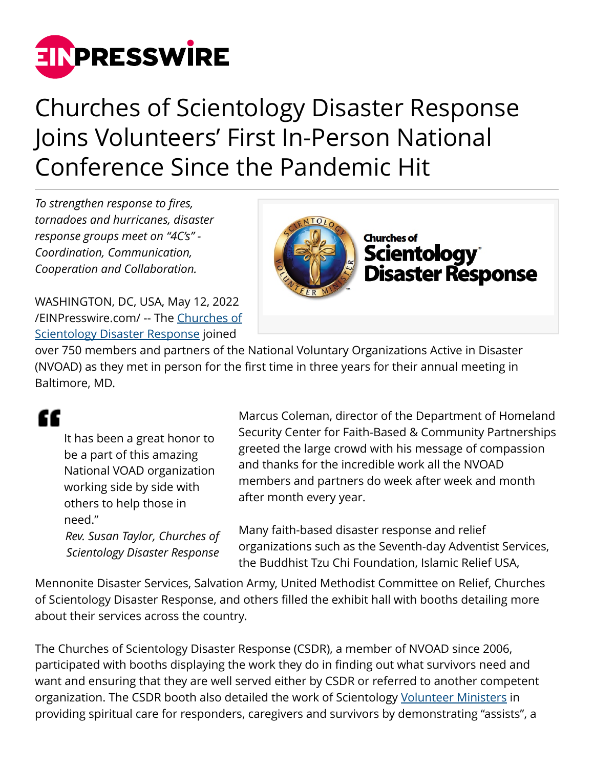

## Churches of Scientology Disaster Response Joins Volunteers' First In-Person National Conference Since the Pandemic Hit

*To strengthen response to fires, tornadoes and hurricanes, disaster response groups meet on "4C's" - Coordination, Communication, Cooperation and Collaboration.*

WASHINGTON, DC, USA, May 12, 2022 [/EINPresswire.com/](http://www.einpresswire.com) -- The [Churches of](https://www.csdr-us.org) [Scientology Disaster Response](https://www.csdr-us.org) joined



over 750 members and partners of the National Voluntary Organizations Active in Disaster (NVOAD) as they met in person for the first time in three years for their annual meeting in Baltimore, MD.

## "

It has been a great honor to be a part of this amazing National VOAD organization working side by side with others to help those in need." *Rev. Susan Taylor, Churches of*

*Scientology Disaster Response*

Marcus Coleman, director of the Department of Homeland Security Center for Faith-Based & Community Partnerships greeted the large crowd with his message of compassion and thanks for the incredible work all the NVOAD members and partners do week after week and month after month every year.

Many faith-based disaster response and relief organizations such as the Seventh-day Adventist Services, the Buddhist Tzu Chi Foundation, Islamic Relief USA,

Mennonite Disaster Services, Salvation Army, United Methodist Committee on Relief, Churches of Scientology Disaster Response, and others filled the exhibit hall with booths detailing more about their services across the country.

The Churches of Scientology Disaster Response (CSDR), a member of NVOAD since 2006, participated with booths displaying the work they do in finding out what survivors need and want and ensuring that they are well served either by CSDR or referred to another competent organization. The CSDR booth also detailed the work of Scientology [Volunteer Ministers](https://www.volunteerministers.org/) in providing spiritual care for responders, caregivers and survivors by demonstrating "assists", a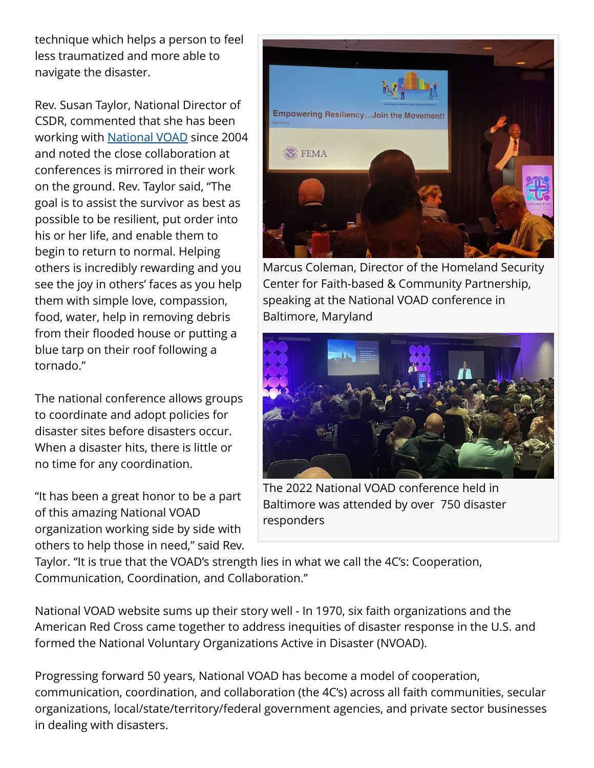technique which helps a person to feel less traumatized and more able to navigate the disaster.

Rev. Susan Taylor, National Director of CSDR, commented that she has been working with [National VOAD](https://www.nvoad.org) since 2004 and noted the close collaboration at conferences is mirrored in their work on the ground. Rev. Taylor said, "The goal is to assist the survivor as best as possible to be resilient, put order into his or her life, and enable them to begin to return to normal. Helping others is incredibly rewarding and you see the joy in others' faces as you help them with simple love, compassion, food, water, help in removing debris from their flooded house or putting a blue tarp on their roof following a tornado."

The national conference allows groups to coordinate and adopt policies for disaster sites before disasters occur. When a disaster hits, there is little or no time for any coordination.

"It has been a great honor to be a part of this amazing National VOAD organization working side by side with others to help those in need," said Rev.



Marcus Coleman, Director of the Homeland Security Center for Faith-based & Community Partnership, speaking at the National VOAD conference in Baltimore, Maryland



The 2022 National VOAD conference held in Baltimore was attended by over 750 disaster responders

Taylor. "It is true that the VOAD's strength lies in what we call the 4C's: Cooperation, Communication, Coordination, and Collaboration."

National VOAD website sums up their story well - In 1970, six faith organizations and the American Red Cross came together to address inequities of disaster response in the U.S. and formed the National Voluntary Organizations Active in Disaster (NVOAD).

Progressing forward 50 years, National VOAD has become a model of cooperation, communication, coordination, and collaboration (the 4C's) across all faith communities, secular organizations, local/state/territory/federal government agencies, and private sector businesses in dealing with disasters.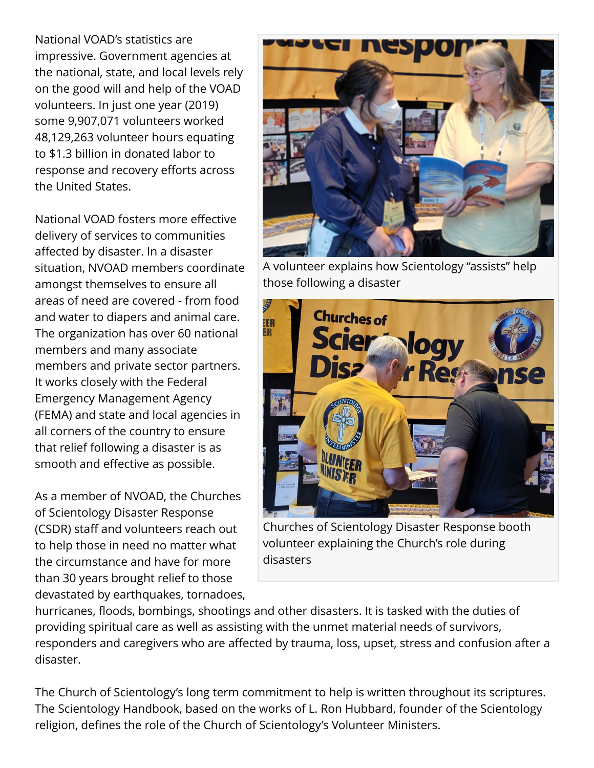National VOAD's statistics are impressive. Government agencies at the national, state, and local levels rely on the good will and help of the VOAD volunteers. In just one year (2019) some 9,907,071 volunteers worked 48,129,263 volunteer hours equating to \$1.3 billion in donated labor to response and recovery efforts across the United States.

National VOAD fosters more effective delivery of services to communities affected by disaster. In a disaster situation, NVOAD members coordinate amongst themselves to ensure all areas of need are covered - from food and water to diapers and animal care. The organization has over 60 national members and many associate members and private sector partners. It works closely with the Federal Emergency Management Agency (FEMA) and state and local agencies in all corners of the country to ensure that relief following a disaster is as smooth and effective as possible.

As a member of NVOAD, the Churches of Scientology Disaster Response (CSDR) staff and volunteers reach out to help those in need no matter what the circumstance and have for more than 30 years brought relief to those devastated by earthquakes, tornadoes,



A volunteer explains how Scientology "assists" help those following a disaster



Churches of Scientology Disaster Response booth volunteer explaining the Church's role during disasters

hurricanes, floods, bombings, shootings and other disasters. It is tasked with the duties of providing spiritual care as well as assisting with the unmet material needs of survivors, responders and caregivers who are affected by trauma, loss, upset, stress and confusion after a disaster.

The Church of Scientology's long term commitment to help is written throughout its scriptures. The Scientology Handbook, based on the works of L. Ron Hubbard, founder of the Scientology religion, defines the role of the Church of Scientology's Volunteer Ministers.